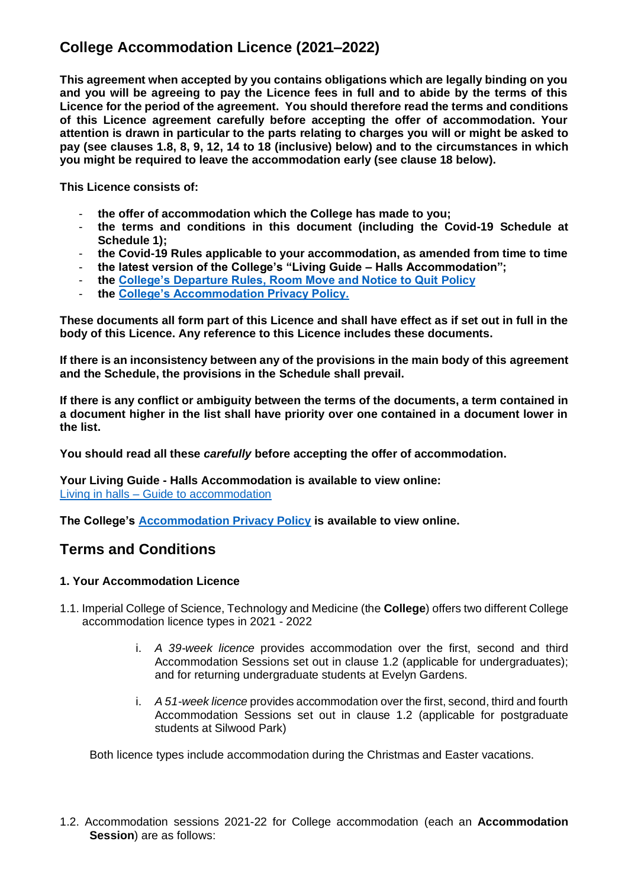# **College Accommodation Licence (2021–2022)**

**This agreement when accepted by you contains obligations which are legally binding on you and you will be agreeing to pay the Licence fees in full and to abide by the terms of this Licence for the period of the agreement. You should therefore read the terms and conditions of this Licence agreement carefully before accepting the offer of accommodation. Your attention is drawn in particular to the parts relating to charges you will or might be asked to pay (see clauses 1.8, 8, 9, 12, 14 to 18 (inclusive) below) and to the circumstances in which you might be required to leave the accommodation early (see clause 18 below).**

**This Licence consists of:**

- **the offer of accommodation which the College has made to you;**
- **the terms and conditions in this document (including the Covid-19 Schedule at Schedule 1);**
- **the Covid-19 Rules applicable to your accommodation, as amended from time to time**
- **the latest version of the College's "Living Guide – Halls Accommodation";**
- **the [College's Departure Rules, Room Move and Notice to Quit Policy](https://www.imperial.ac.uk/study/campus-life/accommodation/current-residents/policies-and-guidelines/transfer/)**
- **the [College's Accommodation Privacy Policy.](http://www.imperial.ac.uk/study/campus-life/accommodation/current-residents/policies-and-guidelines/privacy-policy/)**

**These documents all form part of this Licence and shall have effect as if set out in full in the body of this Licence. Any reference to this Licence includes these documents.** 

**If there is an inconsistency between any of the provisions in the main body of this agreement and the Schedule, the provisions in the Schedule shall prevail.**

**If there is any conflict or ambiguity between the terms of the documents, a term contained in a document higher in the list shall have priority over one contained in a document lower in the list.**

**You should read all these** *carefully* **before accepting the offer of accommodation.**

**Your Living Guide - Halls Accommodation is available to view online:**  Living in halls – [Guide to accommodation](https://www.imperial.ac.uk/media/imperial-college/current-students/accommodation/public/Living-Guide.pdf) 

**The College's [Accommodation Privacy Policy](http://www.imperial.ac.uk/study/campus-life/accommodation/privacy-policy/) is available to view online.**

## **Terms and Conditions**

#### **1. Your Accommodation Licence**

- 1.1. Imperial College of Science, Technology and Medicine (the **College**) offers two different College accommodation licence types in 2021 - 2022
	- i. *A 39-week licence* provides accommodation over the first, second and third Accommodation Sessions set out in clause 1.2 (applicable for undergraduates); and for returning undergraduate students at Evelyn Gardens.
	- i. *A 51-week licence* provides accommodation over the first, second, third and fourth Accommodation Sessions set out in clause 1.2 (applicable for postgraduate students at Silwood Park)

Both licence types include accommodation during the Christmas and Easter vacations.

1.2. Accommodation sessions 2021-22 for College accommodation (each an **Accommodation Session**) are as follows: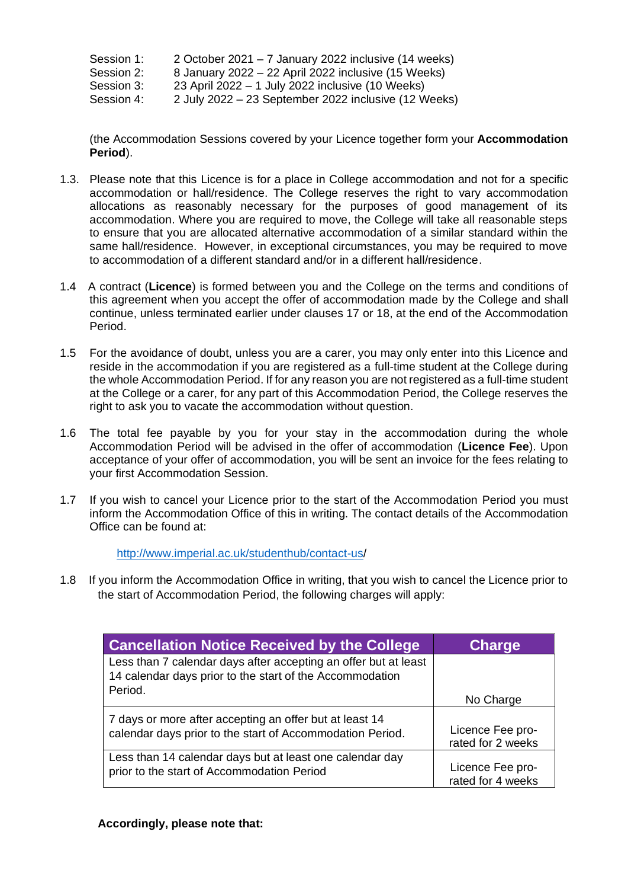Session 1: 2 October 2021 – 7 January 2022 inclusive (14 weeks)

Session 2: 8 January 2022 – 22 April 2022 inclusive (15 Weeks)

Session 3: 23 April 2022 – 1 July 2022 inclusive (10 Weeks)

Session 4: 2 July 2022 – 23 September 2022 inclusive (12 Weeks)

(the Accommodation Sessions covered by your Licence together form your **Accommodation Period**).

- 1.3. Please note that this Licence is for a place in College accommodation and not for a specific accommodation or hall/residence. The College reserves the right to vary accommodation allocations as reasonably necessary for the purposes of good management of its accommodation. Where you are required to move, the College will take all reasonable steps to ensure that you are allocated alternative accommodation of a similar standard within the same hall/residence. However, in exceptional circumstances, you may be required to move to accommodation of a different standard and/or in a different hall/residence.
- 1.4 A contract (**Licence**) is formed between you and the College on the terms and conditions of this agreement when you accept the offer of accommodation made by the College and shall continue, unless terminated earlier under clauses 17 or 18, at the end of the Accommodation Period.
- 1.5 For the avoidance of doubt, unless you are a carer, you may only enter into this Licence and reside in the accommodation if you are registered as a full-time student at the College during the whole Accommodation Period. If for any reason you are not registered as a full-time student at the College or a carer, for any part of this Accommodation Period, the College reserves the right to ask you to vacate the accommodation without question.
- 1.6 The total fee payable by you for your stay in the accommodation during the whole Accommodation Period will be advised in the offer of accommodation (**Licence Fee**). Upon acceptance of your offer of accommodation, you will be sent an invoice for the fees relating to your first Accommodation Session.
- 1.7 If you wish to cancel your Licence prior to the start of the Accommodation Period you must inform the Accommodation Office of this in writing. The contact details of the Accommodation Office can be found at:

[http://www.imperial.ac.uk/studenthub/contact-us/](http://www.imperial.ac.uk/studenthub/contact-us)

1.8 If you inform the Accommodation Office in writing, that you wish to cancel the Licence prior to the start of Accommodation Period, the following charges will apply:

| <b>Cancellation Notice Received by the College</b>                                                                                     | <b>Charge</b>                         |
|----------------------------------------------------------------------------------------------------------------------------------------|---------------------------------------|
| Less than 7 calendar days after accepting an offer but at least<br>14 calendar days prior to the start of the Accommodation<br>Period. |                                       |
|                                                                                                                                        | No Charge                             |
| 7 days or more after accepting an offer but at least 14<br>calendar days prior to the start of Accommodation Period.                   | Licence Fee pro-<br>rated for 2 weeks |
| Less than 14 calendar days but at least one calendar day<br>prior to the start of Accommodation Period                                 | Licence Fee pro-<br>rated for 4 weeks |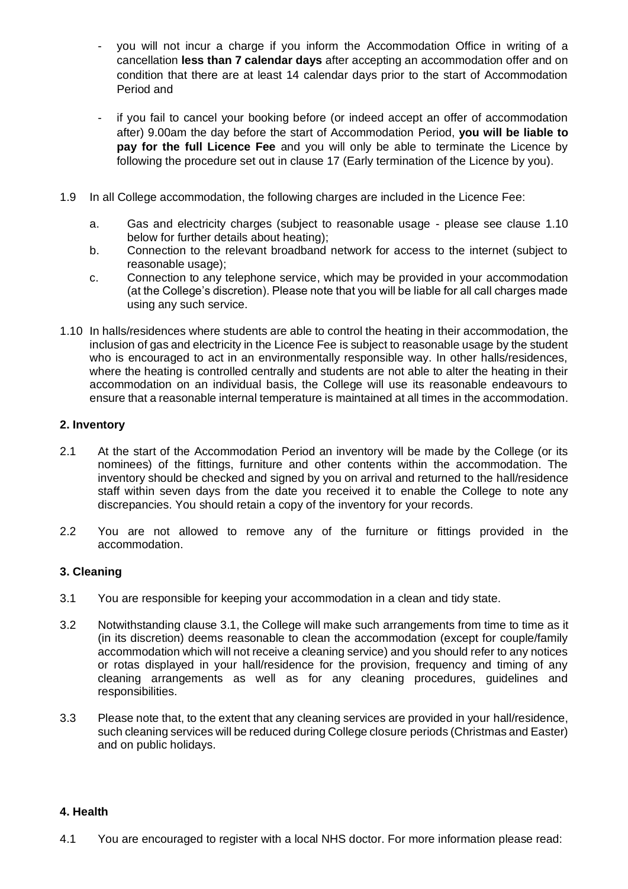- you will not incur a charge if you inform the Accommodation Office in writing of a cancellation **less than 7 calendar days** after accepting an accommodation offer and on condition that there are at least 14 calendar days prior to the start of Accommodation Period and
- if you fail to cancel your booking before (or indeed accept an offer of accommodation after) 9.00am the day before the start of Accommodation Period, **you will be liable to pay for the full Licence Fee** and you will only be able to terminate the Licence by following the procedure set out in clause 17 (Early termination of the Licence by you).
- 1.9 In all College accommodation, the following charges are included in the Licence Fee:
	- a. Gas and electricity charges (subject to reasonable usage please see clause 1.10 below for further details about heating);
	- b. Connection to the relevant broadband network for access to the internet (subject to reasonable usage);
	- c. Connection to any telephone service, which may be provided in your accommodation (at the College's discretion). Please note that you will be liable for all call charges made using any such service.
- 1.10 In halls/residences where students are able to control the heating in their accommodation, the inclusion of gas and electricity in the Licence Fee is subject to reasonable usage by the student who is encouraged to act in an environmentally responsible way. In other halls/residences, where the heating is controlled centrally and students are not able to alter the heating in their accommodation on an individual basis, the College will use its reasonable endeavours to ensure that a reasonable internal temperature is maintained at all times in the accommodation.

#### **2. Inventory**

- 2.1 At the start of the Accommodation Period an inventory will be made by the College (or its nominees) of the fittings, furniture and other contents within the accommodation. The inventory should be checked and signed by you on arrival and returned to the hall/residence staff within seven days from the date you received it to enable the College to note any discrepancies. You should retain a copy of the inventory for your records.
- 2.2 You are not allowed to remove any of the furniture or fittings provided in the accommodation.

#### **3. Cleaning**

- 3.1 You are responsible for keeping your accommodation in a clean and tidy state.
- 3.2 Notwithstanding clause 3.1, the College will make such arrangements from time to time as it (in its discretion) deems reasonable to clean the accommodation (except for couple/family accommodation which will not receive a cleaning service) and you should refer to any notices or rotas displayed in your hall/residence for the provision, frequency and timing of any cleaning arrangements as well as for any cleaning procedures, guidelines and responsibilities.
- 3.3 Please note that, to the extent that any cleaning services are provided in your hall/residence, such cleaning services will be reduced during College closure periods (Christmas and Easter) and on public holidays.

#### **4. Health**

4.1 You are encouraged to register with a local NHS doctor. For more information please read: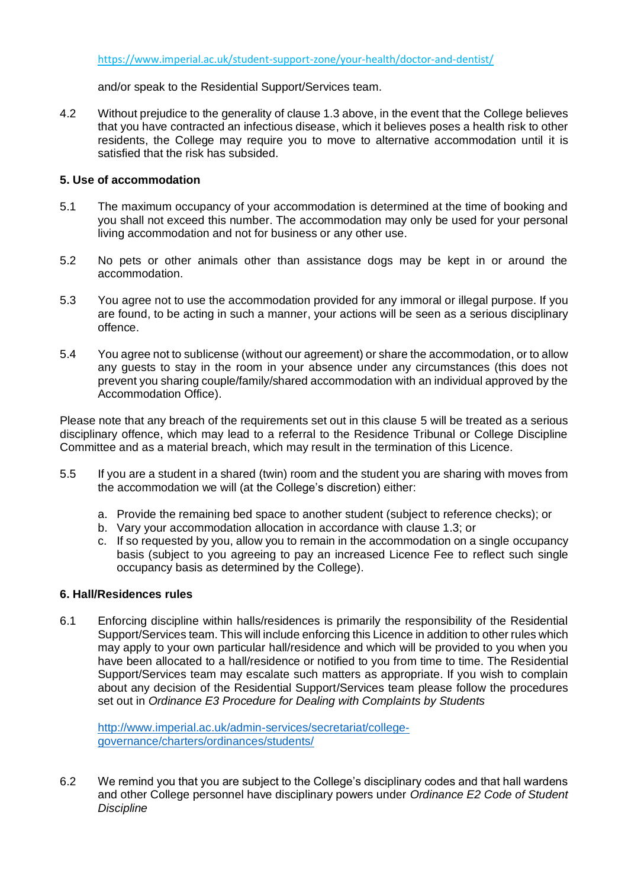and/or speak to the Residential Support/Services team.

4.2 Without prejudice to the generality of clause 1.3 above, in the event that the College believes that you have contracted an infectious disease, which it believes poses a health risk to other residents, the College may require you to move to alternative accommodation until it is satisfied that the risk has subsided.

#### **5. Use of accommodation**

- 5.1 The maximum occupancy of your accommodation is determined at the time of booking and you shall not exceed this number. The accommodation may only be used for your personal living accommodation and not for business or any other use.
- 5.2 No pets or other animals other than assistance dogs may be kept in or around the accommodation.
- 5.3 You agree not to use the accommodation provided for any immoral or illegal purpose. If you are found, to be acting in such a manner, your actions will be seen as a serious disciplinary offence.
- 5.4 You agree not to sublicense (without our agreement) or share the accommodation, or to allow any guests to stay in the room in your absence under any circumstances (this does not prevent you sharing couple/family/shared accommodation with an individual approved by the Accommodation Office).

Please note that any breach of the requirements set out in this clause 5 will be treated as a serious disciplinary offence, which may lead to a referral to the Residence Tribunal or College Discipline Committee and as a material breach, which may result in the termination of this Licence.

- 5.5 If you are a student in a shared (twin) room and the student you are sharing with moves from the accommodation we will (at the College's discretion) either:
	- a. Provide the remaining bed space to another student (subject to reference checks); or
	- b. Vary your accommodation allocation in accordance with clause 1.3; or
	- c. If so requested by you, allow you to remain in the accommodation on a single occupancy basis (subject to you agreeing to pay an increased Licence Fee to reflect such single occupancy basis as determined by the College).

#### **6. Hall/Residences rules**

6.1 Enforcing discipline within halls/residences is primarily the responsibility of the Residential Support/Services team. This will include enforcing this Licence in addition to other rules which may apply to your own particular hall/residence and which will be provided to you when you have been allocated to a hall/residence or notified to you from time to time. The Residential Support/Services team may escalate such matters as appropriate. If you wish to complain about any decision of the Residential Support/Services team please follow the procedures set out in *Ordinance E3 Procedure for Dealing with Complaints by Students*

[http://www.imperial.ac.uk/admin-services/secretariat/college](http://www.imperial.ac.uk/admin-services/secretariat/college-governance/charters/ordinances/students/)[governance/charters/ordinances/students/](http://www.imperial.ac.uk/admin-services/secretariat/college-governance/charters/ordinances/students/)

6.2 We remind you that you are subject to the College's disciplinary codes and that hall wardens and other College personnel have disciplinary powers under *Ordinance E2 Code of Student Discipline*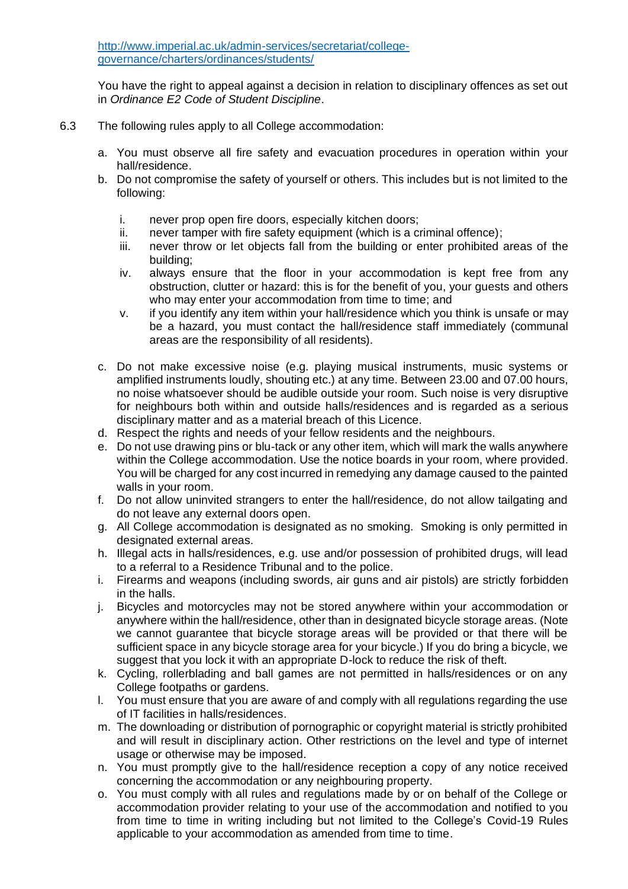You have the right to appeal against a decision in relation to disciplinary offences as set out in *Ordinance E2 Code of Student Discipline*.

- 6.3 The following rules apply to all College accommodation:
	- a. You must observe all fire safety and evacuation procedures in operation within your hall/residence.
	- b. Do not compromise the safety of yourself or others. This includes but is not limited to the following:
		- i. never prop open fire doors, especially kitchen doors;
		- ii. never tamper with fire safety equipment (which is a criminal offence);
		- iii. never throw or let objects fall from the building or enter prohibited areas of the building;
		- iv. always ensure that the floor in your accommodation is kept free from any obstruction, clutter or hazard: this is for the benefit of you, your guests and others who may enter your accommodation from time to time; and
		- v. if you identify any item within your hall/residence which you think is unsafe or may be a hazard, you must contact the hall/residence staff immediately (communal areas are the responsibility of all residents).
	- c. Do not make excessive noise (e.g. playing musical instruments, music systems or amplified instruments loudly, shouting etc.) at any time. Between 23.00 and 07.00 hours, no noise whatsoever should be audible outside your room. Such noise is very disruptive for neighbours both within and outside halls/residences and is regarded as a serious disciplinary matter and as a material breach of this Licence.
	- d. Respect the rights and needs of your fellow residents and the neighbours.
	- e. Do not use drawing pins or blu-tack or any other item, which will mark the walls anywhere within the College accommodation. Use the notice boards in your room, where provided. You will be charged for any cost incurred in remedying any damage caused to the painted walls in your room.
	- f. Do not allow uninvited strangers to enter the hall/residence, do not allow tailgating and do not leave any external doors open.
	- g. All College accommodation is designated as no smoking. Smoking is only permitted in designated external areas.
	- h. Illegal acts in halls/residences, e.g. use and/or possession of prohibited drugs, will lead to a referral to a Residence Tribunal and to the police.
	- i. Firearms and weapons (including swords, air guns and air pistols) are strictly forbidden in the halls.
	- j. Bicycles and motorcycles may not be stored anywhere within your accommodation or anywhere within the hall/residence, other than in designated bicycle storage areas. (Note we cannot quarantee that bicycle storage areas will be provided or that there will be sufficient space in any bicycle storage area for your bicycle.) If you do bring a bicycle, we suggest that you lock it with an appropriate D-lock to reduce the risk of theft.
	- k. Cycling, rollerblading and ball games are not permitted in halls/residences or on any College footpaths or gardens.
	- l. You must ensure that you are aware of and comply with all regulations regarding the use of IT facilities in halls/residences.
	- m. The downloading or distribution of pornographic or copyright material is strictly prohibited and will result in disciplinary action. Other restrictions on the level and type of internet usage or otherwise may be imposed.
	- n. You must promptly give to the hall/residence reception a copy of any notice received concerning the accommodation or any neighbouring property.
	- o. You must comply with all rules and regulations made by or on behalf of the College or accommodation provider relating to your use of the accommodation and notified to you from time to time in writing including but not limited to the College's Covid-19 Rules applicable to your accommodation as amended from time to time.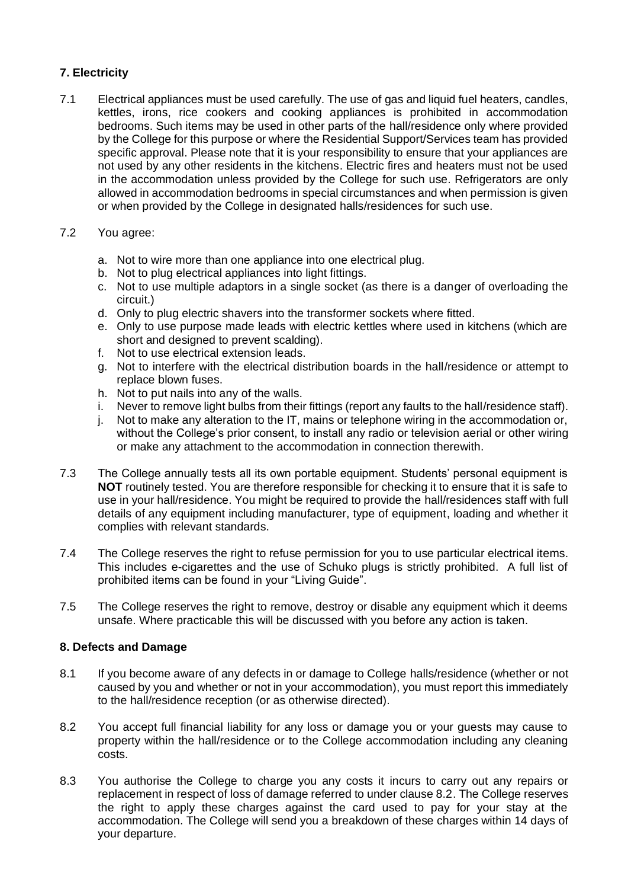### **7. Electricity**

- 7.1 Electrical appliances must be used carefully. The use of gas and liquid fuel heaters, candles, kettles, irons, rice cookers and cooking appliances is prohibited in accommodation bedrooms. Such items may be used in other parts of the hall/residence only where provided by the College for this purpose or where the Residential Support/Services team has provided specific approval. Please note that it is your responsibility to ensure that your appliances are not used by any other residents in the kitchens. Electric fires and heaters must not be used in the accommodation unless provided by the College for such use. Refrigerators are only allowed in accommodation bedrooms in special circumstances and when permission is given or when provided by the College in designated halls/residences for such use.
- 7.2 You agree:
	- a. Not to wire more than one appliance into one electrical plug.
	- b. Not to plug electrical appliances into light fittings.
	- c. Not to use multiple adaptors in a single socket (as there is a danger of overloading the circuit.)
	- d. Only to plug electric shavers into the transformer sockets where fitted.
	- e. Only to use purpose made leads with electric kettles where used in kitchens (which are short and designed to prevent scalding).
	- f. Not to use electrical extension leads.
	- g. Not to interfere with the electrical distribution boards in the hall/residence or attempt to replace blown fuses.
	- h. Not to put nails into any of the walls.
	- i. Never to remove light bulbs from their fittings (report any faults to the hall/residence staff).
	- j. Not to make any alteration to the IT, mains or telephone wiring in the accommodation or, without the College's prior consent, to install any radio or television aerial or other wiring or make any attachment to the accommodation in connection therewith.
- 7.3 The College annually tests all its own portable equipment. Students' personal equipment is **NOT** routinely tested. You are therefore responsible for checking it to ensure that it is safe to use in your hall/residence. You might be required to provide the hall/residences staff with full details of any equipment including manufacturer, type of equipment, loading and whether it complies with relevant standards.
- 7.4 The College reserves the right to refuse permission for you to use particular electrical items. This includes e-cigarettes and the use of Schuko plugs is strictly prohibited. A full list of prohibited items can be found in your "Living Guide".
- 7.5 The College reserves the right to remove, destroy or disable any equipment which it deems unsafe. Where practicable this will be discussed with you before any action is taken.

#### **8. Defects and Damage**

- 8.1 If you become aware of any defects in or damage to College halls/residence (whether or not caused by you and whether or not in your accommodation), you must report this immediately to the hall/residence reception (or as otherwise directed).
- 8.2 You accept full financial liability for any loss or damage you or your guests may cause to property within the hall/residence or to the College accommodation including any cleaning costs.
- 8.3 You authorise the College to charge you any costs it incurs to carry out any repairs or replacement in respect of loss of damage referred to under clause 8.2. The College reserves the right to apply these charges against the card used to pay for your stay at the accommodation. The College will send you a breakdown of these charges within 14 days of your departure.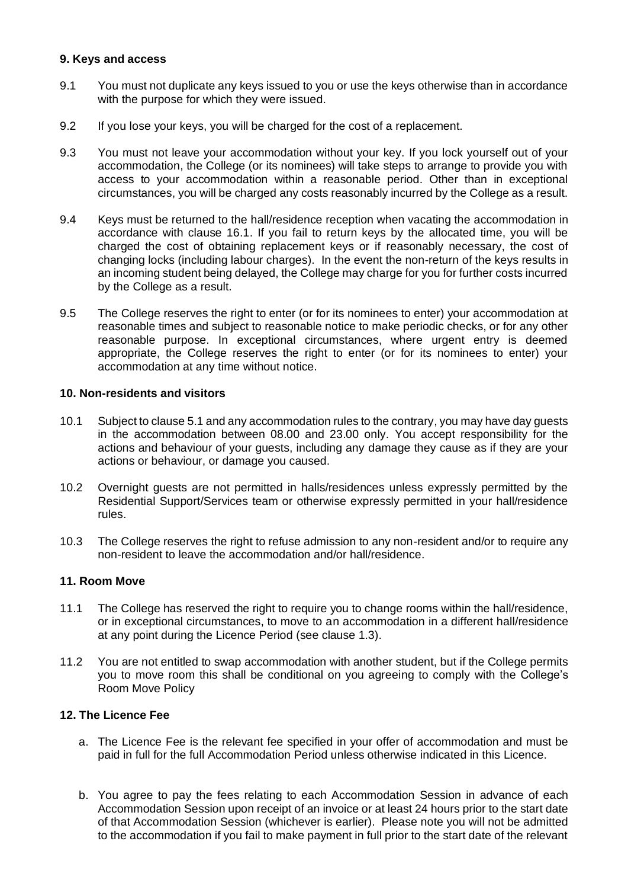#### **9. Keys and access**

- 9.1 You must not duplicate any keys issued to you or use the keys otherwise than in accordance with the purpose for which they were issued.
- 9.2 If you lose your keys, you will be charged for the cost of a replacement.
- 9.3 You must not leave your accommodation without your key. If you lock yourself out of your accommodation, the College (or its nominees) will take steps to arrange to provide you with access to your accommodation within a reasonable period. Other than in exceptional circumstances, you will be charged any costs reasonably incurred by the College as a result.
- 9.4 Keys must be returned to the hall/residence reception when vacating the accommodation in accordance with clause 16.1. If you fail to return keys by the allocated time, you will be charged the cost of obtaining replacement keys or if reasonably necessary, the cost of changing locks (including labour charges). In the event the non-return of the keys results in an incoming student being delayed, the College may charge for you for further costs incurred by the College as a result.
- 9.5 The College reserves the right to enter (or for its nominees to enter) your accommodation at reasonable times and subject to reasonable notice to make periodic checks, or for any other reasonable purpose. In exceptional circumstances, where urgent entry is deemed appropriate, the College reserves the right to enter (or for its nominees to enter) your accommodation at any time without notice.

#### **10. Non-residents and visitors**

- 10.1 Subject to clause 5.1 and any accommodation rules to the contrary, you may have day guests in the accommodation between 08.00 and 23.00 only. You accept responsibility for the actions and behaviour of your guests, including any damage they cause as if they are your actions or behaviour, or damage you caused.
- 10.2 Overnight guests are not permitted in halls/residences unless expressly permitted by the Residential Support/Services team or otherwise expressly permitted in your hall/residence rules.
- 10.3 The College reserves the right to refuse admission to any non-resident and/or to require any non-resident to leave the accommodation and/or hall/residence.

#### **11. Room Move**

- 11.1 The College has reserved the right to require you to change rooms within the hall/residence, or in exceptional circumstances, to move to an accommodation in a different hall/residence at any point during the Licence Period (see clause 1.3).
- 11.2 You are not entitled to swap accommodation with another student, but if the College permits you to move room this shall be conditional on you agreeing to comply with the College's Room Move Policy

#### **12. The Licence Fee**

- a. The Licence Fee is the relevant fee specified in your offer of accommodation and must be paid in full for the full Accommodation Period unless otherwise indicated in this Licence.
- b. You agree to pay the fees relating to each Accommodation Session in advance of each Accommodation Session upon receipt of an invoice or at least 24 hours prior to the start date of that Accommodation Session (whichever is earlier). Please note you will not be admitted to the accommodation if you fail to make payment in full prior to the start date of the relevant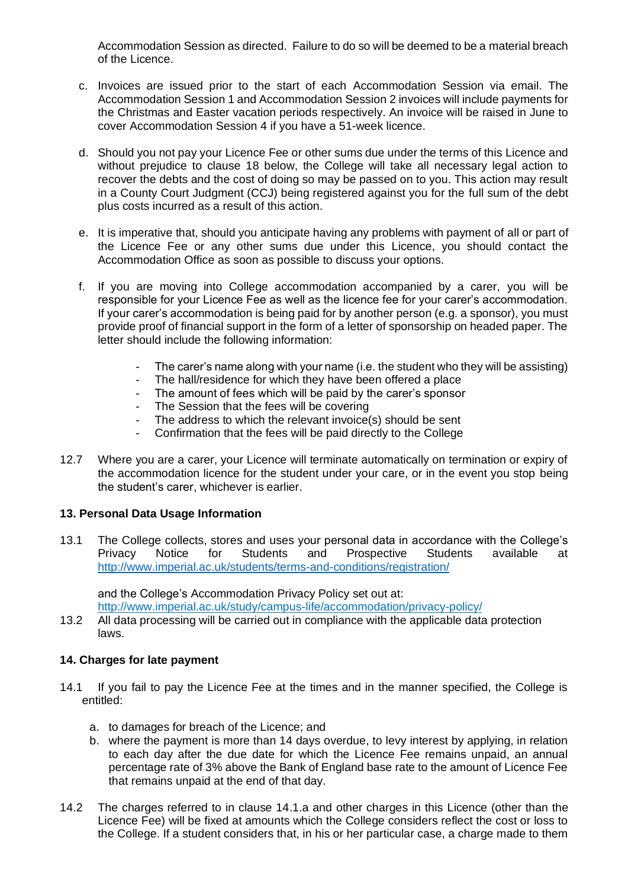Accommodation Session as directed. Failure to do so will be deemed to be a material breach of the Licence.

- c. Invoices are issued prior to the start of each Accommodation Session via email. The Accommodation Session 1 and Accommodation Session 2 invoices will include payments for the Christmas and Easter vacation periods respectively. An invoice will be raised in June to cover Accommodation Session 4 if you have a 51-week licence.
- d. Should you not pay your Licence Fee or other sums due under the terms of this Licence and without prejudice to clause 18 below, the College will take all necessary legal action to recover the debts and the cost of doing so may be passed on to you. This action may result in a County Court Judgment (CCJ) being registered against you for the full sum of the debt plus costs incurred as a result of this action.
- e. It is imperative that, should you anticipate having any problems with payment of all or part of the Licence Fee or any other sums due under this Licence, you should contact the Accommodation Office as soon as possible to discuss your options.
- f. If you are moving into College accommodation accompanied by a carer, you will be responsible for your Licence Fee as well as the licence fee for your carer's accommodation. If your carer's accommodation is being paid for by another person (e.g. a sponsor), you must provide proof of financial support in the form of a letter of sponsorship on headed paper. The letter should include the following information:
	- The carer's name along with your name (i.e. the student who they will be assisting)
	- The hall/residence for which they have been offered a place
	- The amount of fees which will be paid by the carer's sponsor
	- The Session that the fees will be covering
	- The address to which the relevant invoice(s) should be sent
	- Confirmation that the fees will be paid directly to the College
- 12.7 Where you are a carer, your Licence will terminate automatically on termination or expiry of the accommodation licence for the student under your care, or in the event you stop being the student's carer, whichever is earlier.

#### **13. Personal Data Usage Information**

13.1 The College collects, stores and uses your personal data in accordance with the College's<br>Privacy Notice for Students and Prospective Students available at Privacy Notice for Students and Prospective Students available at <http://www.imperial.ac.uk/students/terms-and-conditions/registration/>

and the College's Accommodation Privacy Policy set out at:

<http://www.imperial.ac.uk/study/campus-life/accommodation/privacy-policy/>

13.2 All data processing will be carried out in compliance with the applicable data protection laws.

### **14. Charges for late payment**

- 14.1 If you fail to pay the Licence Fee at the times and in the manner specified, the College is entitled:
	- a. to damages for breach of the Licence; and
	- b. where the payment is more than 14 days overdue, to levy interest by applying, in relation to each day after the due date for which the Licence Fee remains unpaid, an annual percentage rate of 3% above the Bank of England base rate to the amount of Licence Fee that remains unpaid at the end of that day.
- 14.2 The charges referred to in clause 14.1.a and other charges in this Licence (other than the Licence Fee) will be fixed at amounts which the College considers reflect the cost or loss to the College. If a student considers that, in his or her particular case, a charge made to them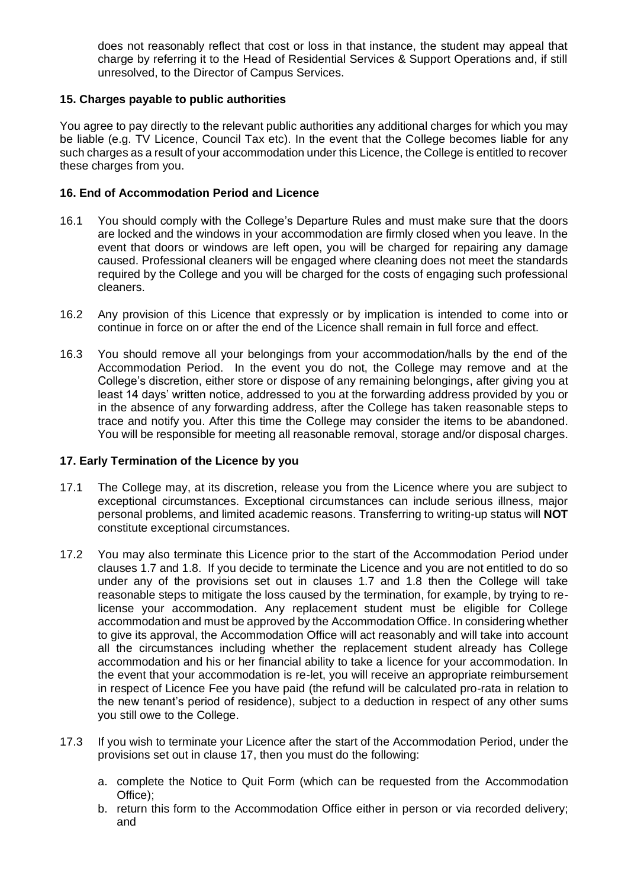does not reasonably reflect that cost or loss in that instance, the student may appeal that charge by referring it to the Head of Residential Services & Support Operations and, if still unresolved, to the Director of Campus Services.

### **15. Charges payable to public authorities**

You agree to pay directly to the relevant public authorities any additional charges for which you may be liable (e.g. TV Licence, Council Tax etc). In the event that the College becomes liable for any such charges as a result of your accommodation under this Licence, the College is entitled to recover these charges from you.

### **16. End of Accommodation Period and Licence**

- 16.1 You should comply with the College's Departure Rules and must make sure that the doors are locked and the windows in your accommodation are firmly closed when you leave. In the event that doors or windows are left open, you will be charged for repairing any damage caused. Professional cleaners will be engaged where cleaning does not meet the standards required by the College and you will be charged for the costs of engaging such professional cleaners.
- 16.2 Any provision of this Licence that expressly or by implication is intended to come into or continue in force on or after the end of the Licence shall remain in full force and effect.
- 16.3 You should remove all your belongings from your accommodation/halls by the end of the Accommodation Period. In the event you do not, the College may remove and at the College's discretion, either store or dispose of any remaining belongings, after giving you at least 14 days' written notice, addressed to you at the forwarding address provided by you or in the absence of any forwarding address, after the College has taken reasonable steps to trace and notify you. After this time the College may consider the items to be abandoned. You will be responsible for meeting all reasonable removal, storage and/or disposal charges.

#### **17. Early Termination of the Licence by you**

- 17.1 The College may, at its discretion, release you from the Licence where you are subject to exceptional circumstances. Exceptional circumstances can include serious illness, major personal problems, and limited academic reasons. Transferring to writing-up status will **NOT**  constitute exceptional circumstances.
- 17.2 You may also terminate this Licence prior to the start of the Accommodation Period under clauses 1.7 and 1.8. If you decide to terminate the Licence and you are not entitled to do so under any of the provisions set out in clauses 1.7 and 1.8 then the College will take reasonable steps to mitigate the loss caused by the termination, for example, by trying to relicense your accommodation. Any replacement student must be eligible for College accommodation and must be approved by the Accommodation Office. In considering whether to give its approval, the Accommodation Office will act reasonably and will take into account all the circumstances including whether the replacement student already has College accommodation and his or her financial ability to take a licence for your accommodation. In the event that your accommodation is re-let, you will receive an appropriate reimbursement in respect of Licence Fee you have paid (the refund will be calculated pro-rata in relation to the new tenant's period of residence), subject to a deduction in respect of any other sums you still owe to the College.
- 17.3 If you wish to terminate your Licence after the start of the Accommodation Period, under the provisions set out in clause 17, then you must do the following:
	- a. complete the Notice to Quit Form (which can be requested from the Accommodation Office);
	- b. return this form to the Accommodation Office either in person or via recorded delivery; and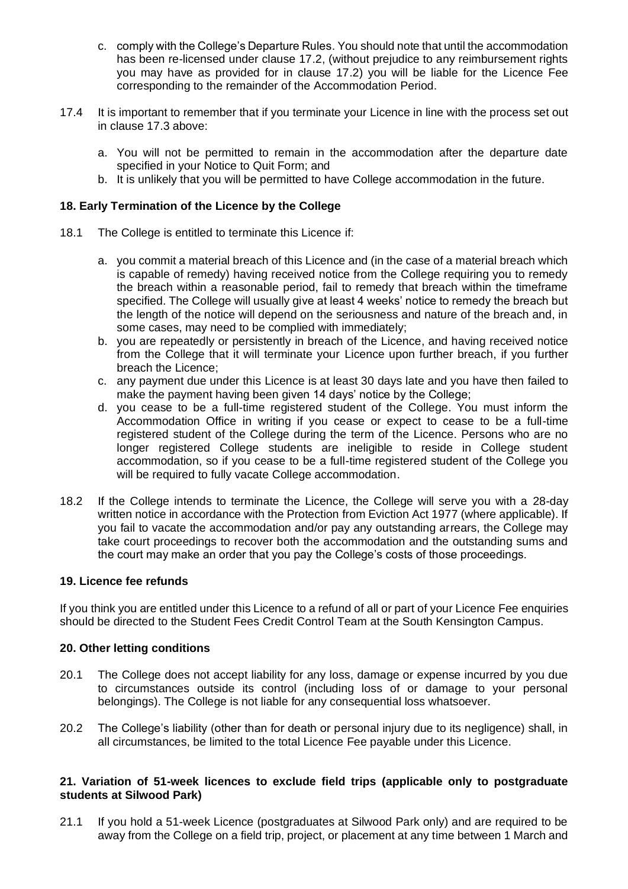- c. comply with the College's Departure Rules. You should note that until the accommodation has been re-licensed under clause 17.2, (without prejudice to any reimbursement rights you may have as provided for in clause 17.2) you will be liable for the Licence Fee corresponding to the remainder of the Accommodation Period.
- 17.4 It is important to remember that if you terminate your Licence in line with the process set out in clause 17.3 above:
	- a. You will not be permitted to remain in the accommodation after the departure date specified in your Notice to Quit Form; and
	- b. It is unlikely that you will be permitted to have College accommodation in the future.

### **18. Early Termination of the Licence by the College**

- 18.1 The College is entitled to terminate this Licence if:
	- a. you commit a material breach of this Licence and (in the case of a material breach which is capable of remedy) having received notice from the College requiring you to remedy the breach within a reasonable period, fail to remedy that breach within the timeframe specified. The College will usually give at least 4 weeks' notice to remedy the breach but the length of the notice will depend on the seriousness and nature of the breach and, in some cases, may need to be complied with immediately;
	- b. you are repeatedly or persistently in breach of the Licence, and having received notice from the College that it will terminate your Licence upon further breach, if you further breach the Licence;
	- c. any payment due under this Licence is at least 30 days late and you have then failed to make the payment having been given 14 days' notice by the College;
	- d. you cease to be a full-time registered student of the College. You must inform the Accommodation Office in writing if you cease or expect to cease to be a full-time registered student of the College during the term of the Licence. Persons who are no longer registered College students are ineligible to reside in College student accommodation, so if you cease to be a full-time registered student of the College you will be required to fully vacate College accommodation.
- 18.2 If the College intends to terminate the Licence, the College will serve you with a 28-day written notice in accordance with the Protection from Eviction Act 1977 (where applicable). If you fail to vacate the accommodation and/or pay any outstanding arrears, the College may take court proceedings to recover both the accommodation and the outstanding sums and the court may make an order that you pay the College's costs of those proceedings.

#### **19. Licence fee refunds**

If you think you are entitled under this Licence to a refund of all or part of your Licence Fee enquiries should be directed to the Student Fees Credit Control Team at the South Kensington Campus.

#### **20. Other letting conditions**

- 20.1 The College does not accept liability for any loss, damage or expense incurred by you due to circumstances outside its control (including loss of or damage to your personal belongings). The College is not liable for any consequential loss whatsoever.
- 20.2 The College's liability (other than for death or personal injury due to its negligence) shall, in all circumstances, be limited to the total Licence Fee payable under this Licence.

#### **21. Variation of 51-week licences to exclude field trips (applicable only to postgraduate students at Silwood Park)**

21.1 If you hold a 51-week Licence (postgraduates at Silwood Park only) and are required to be away from the College on a field trip, project, or placement at any time between 1 March and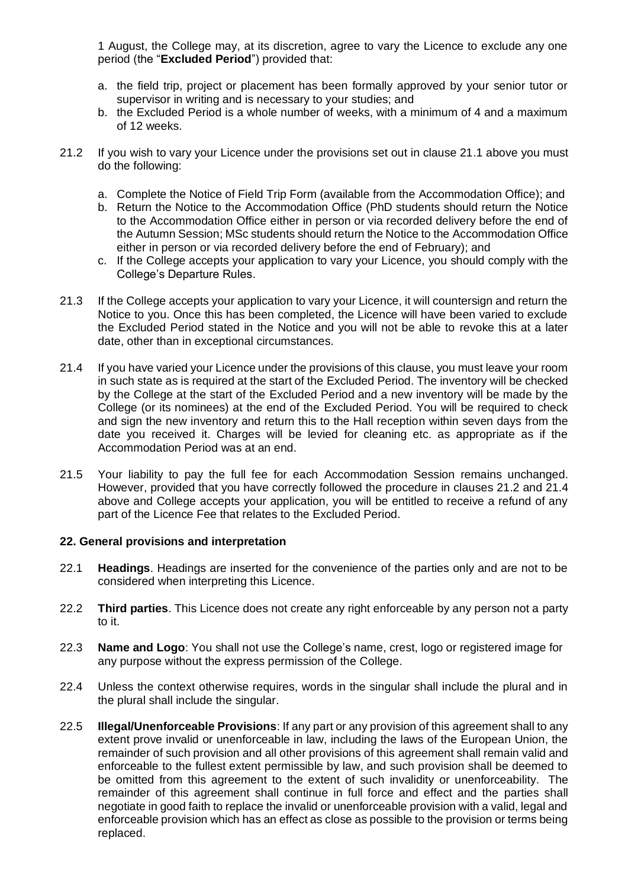1 August, the College may, at its discretion, agree to vary the Licence to exclude any one period (the "**Excluded Period**") provided that:

- a. the field trip, project or placement has been formally approved by your senior tutor or supervisor in writing and is necessary to your studies; and
- b. the Excluded Period is a whole number of weeks, with a minimum of 4 and a maximum of 12 weeks.
- 21.2 If you wish to vary your Licence under the provisions set out in clause 21.1 above you must do the following:
	- a. Complete the Notice of Field Trip Form (available from the Accommodation Office); and
	- b. Return the Notice to the Accommodation Office (PhD students should return the Notice to the Accommodation Office either in person or via recorded delivery before the end of the Autumn Session; MSc students should return the Notice to the Accommodation Office either in person or via recorded delivery before the end of February); and
	- c. If the College accepts your application to vary your Licence, you should comply with the College's Departure Rules.
- 21.3 If the College accepts your application to vary your Licence, it will countersign and return the Notice to you. Once this has been completed, the Licence will have been varied to exclude the Excluded Period stated in the Notice and you will not be able to revoke this at a later date, other than in exceptional circumstances.
- 21.4 If you have varied your Licence under the provisions of this clause, you must leave your room in such state as is required at the start of the Excluded Period. The inventory will be checked by the College at the start of the Excluded Period and a new inventory will be made by the College (or its nominees) at the end of the Excluded Period. You will be required to check and sign the new inventory and return this to the Hall reception within seven days from the date you received it. Charges will be levied for cleaning etc. as appropriate as if the Accommodation Period was at an end.
- 21.5 Your liability to pay the full fee for each Accommodation Session remains unchanged. However, provided that you have correctly followed the procedure in clauses 21.2 and 21.4 above and College accepts your application, you will be entitled to receive a refund of any part of the Licence Fee that relates to the Excluded Period.

#### **22. General provisions and interpretation**

- 22.1 **Headings**. Headings are inserted for the convenience of the parties only and are not to be considered when interpreting this Licence.
- 22.2 **Third parties**. This Licence does not create any right enforceable by any person not a party to it.
- 22.3 **Name and Logo**: You shall not use the College's name, crest, logo or registered image for any purpose without the express permission of the College.
- 22.4 Unless the context otherwise requires, words in the singular shall include the plural and in the plural shall include the singular.
- 22.5 **Illegal/Unenforceable Provisions**: If any part or any provision of this agreement shall to any extent prove invalid or unenforceable in law, including the laws of the European Union, the remainder of such provision and all other provisions of this agreement shall remain valid and enforceable to the fullest extent permissible by law, and such provision shall be deemed to be omitted from this agreement to the extent of such invalidity or unenforceability. The remainder of this agreement shall continue in full force and effect and the parties shall negotiate in good faith to replace the invalid or unenforceable provision with a valid, legal and enforceable provision which has an effect as close as possible to the provision or terms being replaced.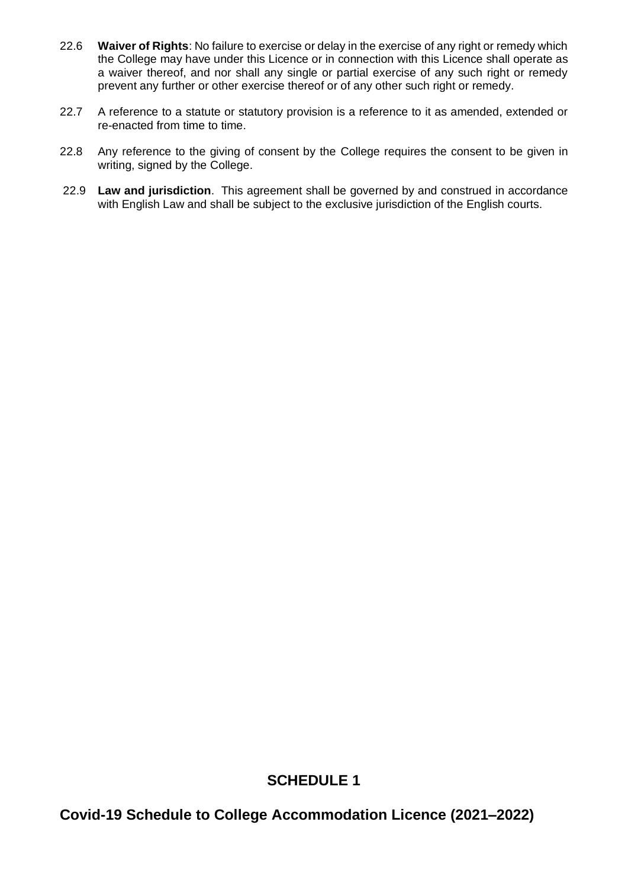- 22.6 **Waiver of Rights**: No failure to exercise or delay in the exercise of any right or remedy which the College may have under this Licence or in connection with this Licence shall operate as a waiver thereof, and nor shall any single or partial exercise of any such right or remedy prevent any further or other exercise thereof or of any other such right or remedy.
- 22.7 A reference to a statute or statutory provision is a reference to it as amended, extended or re-enacted from time to time.
- 22.8 Any reference to the giving of consent by the College requires the consent to be given in writing, signed by the College.
- 22.9 **Law and jurisdiction**. This agreement shall be governed by and construed in accordance with English Law and shall be subject to the exclusive jurisdiction of the English courts.

## **SCHEDULE 1**

**Covid-19 Schedule to College Accommodation Licence (2021–2022)**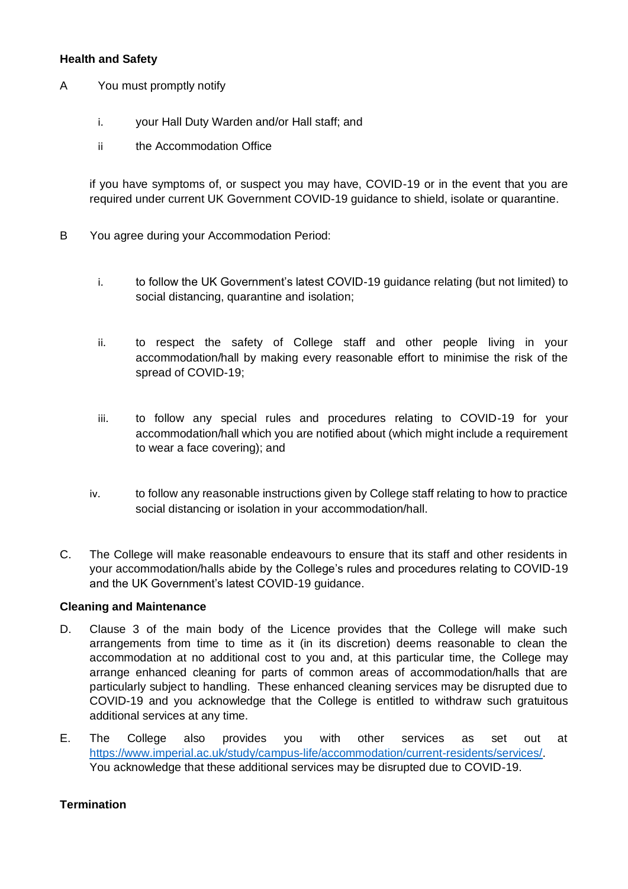### **Health and Safety**

- A You must promptly notify
	- i. your Hall Duty Warden and/or Hall staff; and
	- ii the Accommodation Office

if you have symptoms of, or suspect you may have, COVID-19 or in the event that you are required under current UK Government COVID-19 guidance to shield, isolate or quarantine.

- B You agree during your Accommodation Period:
	- i. to follow the UK Government's latest COVID-19 guidance relating (but not limited) to social distancing, quarantine and isolation;
	- ii. to respect the safety of College staff and other people living in your accommodation/hall by making every reasonable effort to minimise the risk of the spread of COVID-19;
	- iii. to follow any special rules and procedures relating to COVID-19 for your accommodation/hall which you are notified about (which might include a requirement to wear a face covering); and
	- iv. to follow any reasonable instructions given by College staff relating to how to practice social distancing or isolation in your accommodation/hall.
- C. The College will make reasonable endeavours to ensure that its staff and other residents in your accommodation/halls abide by the College's rules and procedures relating to COVID-19 and the UK Government's latest COVID-19 guidance.

#### **Cleaning and Maintenance**

- D. Clause 3 of the main body of the Licence provides that the College will make such arrangements from time to time as it (in its discretion) deems reasonable to clean the accommodation at no additional cost to you and, at this particular time, the College may arrange enhanced cleaning for parts of common areas of accommodation/halls that are particularly subject to handling. These enhanced cleaning services may be disrupted due to COVID-19 and you acknowledge that the College is entitled to withdraw such gratuitous additional services at any time.
- E. The College also provides you with other services as set out at [https://www.imperial.ac.uk/study/campus-life/accommodation/current-residents/services/.](https://www.imperial.ac.uk/study/campus-life/accommodation/current-residents/services/) You acknowledge that these additional services may be disrupted due to COVID-19.

### **Termination**